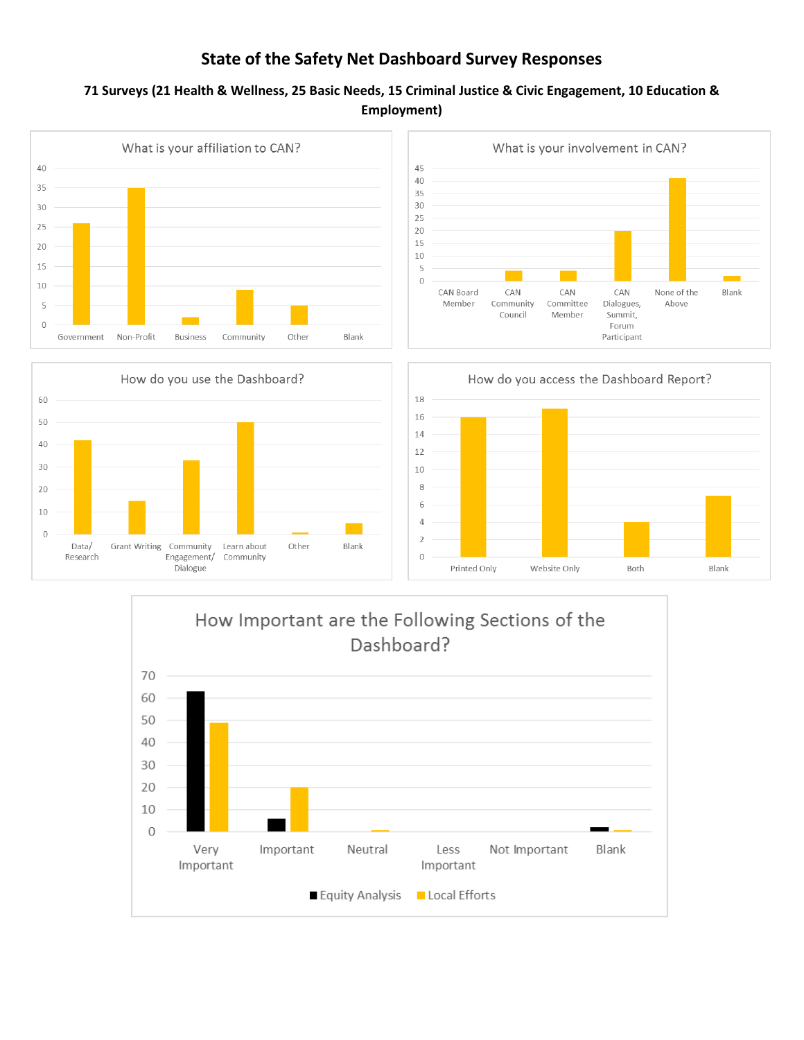# **State of the Safety Net Dashboard Survey Responses**

## **71 Surveys (21 Health & Wellness, 25 Basic Needs, 15 Criminal Justice & Civic Engagement, 10 Education & Employment)**